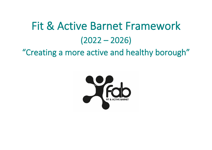# Fit & Active Barnet Framework (2022 – 2026)

"Creating a more active and healthy borough"

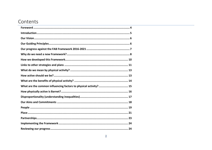## Contents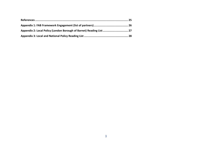| Appendix 2: Local Policy (London Borough of Barnet) Reading List 27 |  |
|---------------------------------------------------------------------|--|
|                                                                     |  |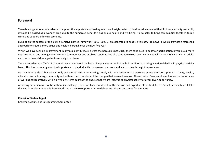### <span id="page-3-0"></span>Foreword

There is a huge amount of evidence to support the importance of leading an active lifestyle. In fact, it is widely documented that if physical activity was a pill, it would be classed as a 'wonder drug' due to the numerous benefits it has on our health and wellbeing. It also helps to bring communities together, tackle crime and support a thriving economy.

Building on the success of the last Fit & Active Barnet Framework (2016–2021), I am delighted to endorse this new Framework, which provides a refreshed approach to create a more active and healthy borough over the next five years.

Whilst we have seen an improvement in physical activity levels across the borough since 2016, there continues to be lower participation levels in our more deprived areas, and among minority ethnic communities and disabled residents. We also continue to see stark health inequalities with 56.4% of Barnet adults and one in five children aged 4-5 overweight or obese.

The unprecedented COVID-19 pandemic has exacerbated the health inequalities in the borough, in addition to driving a national decline in physical activity levels. This has shone a light on the importance of physical activity as we recover from and learn to live through the pandemic.

Our ambition is clear, but we can only achieve our vision by working closely with our residents and partners across the sport, physical activity, health, education and voluntary, community and faith sectorsto implement the changes that we need to make. The refreshed Framework emphasises the importance of working collaboratively within a whole systems approach to ensure that we are integrating physical activity at every given opportunity.

Achieving our vision will not be without its challenges, however I am confident that the passion and expertise of the Fit & Active Barnet Partnership will take the lead in implementing this Framework and maximise opportunities to deliver meaningful outcomes for everyone.

#### **Councillor Sachin Rajput**

Chairman, Adults and Safeguarding Committee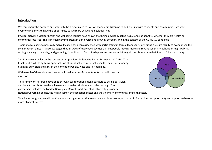#### <span id="page-4-0"></span>Introduction

We care about the borough and want it to be a great place to live, work and visit. Listening to and working with residents and communities, we want everyone in Barnet to have the opportunity to live more active and healthier lives.

Physical activity is vital for health and wellbeing. Studies have shown that being physically active has a range of benefits, whether they are health or community focussed. This is increasingly important in our diverse and growing borough, and in the context of the COVID-19 pandemic.

Traditionally, leading a physically active lifestyle has been associated with participating in formal team sports or visiting a leisure facility to swim or use the gym. In recent times it is acknowledged that all types of everyday activities that get people moving more and reduce sedentary behaviour (e.g., walking, cycling, dancing, active play, and gardening, in addition to formalised sports and leisure activities) all contribute to the definition of 'physical activity'.

This Framework builds on the success of our previous Fit & Active Barnet Framework (2016–2021). It sets out a whole-systems approach for physical activity in Barnet over the next five years by outlining our vision and aims in the context of People, Place and Partnerships.

Within each of these aims we have established a series of commitments that will steer our direction.

This Framework has been developed through collaboration among partners to define our vision and how it contributes to the achievement of wider priorities across the borough. The partnership includes the London Borough of Barnet, sport and physical activity providers, National Governing Bodies, the health sector, the education sector and the voluntary, community and faith sector.



To achieve our goals, we will continue to work together, so that everyone who lives, works, or studies in Barnet has the opportunity and support to become more physically active.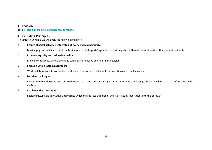## <span id="page-5-0"></span>Our Vision

Is to **'create a more active and healthy borough'**.

## <span id="page-5-1"></span>Our Guiding Principles

To achieve our vision, we will apply the following principles:

#### **1. Ensure physical activity is integrated at every given opportunity:**

Making physical activity not just the business of typical 'sports' agencies, but is integrated within all relevant services that support residents

#### **2. Promote equality and reduce inequality:**

Make Barnet a place where everyone can lead more active and healthier lifestyles

#### **3. Embed a whole systems approach:**

Work collaboratively to co-produce and support delivery of sustainable interventions across a life course

#### **4. Be driven by insight:**

Invest time to understand and reduce barriers to participation by engaging with communities and using a robust evidence base to inform and guide decisions

#### **5. Challenge the status quo:**

Explore sustainable innovative approaches which may be less traditional, whilst attracting investment into the borough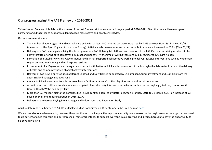## <span id="page-6-0"></span>Our progress against the FAB Framework 2016-2021

This refreshed Framework builds on the success of the last Framework that covered a five-year period, 2016–2021. Over this time a diverse range of partners worked together to support residents to lead more active and healthier lifestyles.

Our achievements include:

- The number of adults aged 16 and over who are active for at least 150 minutes per week increased by 7.3% between Nov 15/16 to Nov 17/18 (measured by the Sport England Active Lives Survey). Activity levels then experienced a decrease, but have since increased to 61.6% (May 20/21)
- Delivery of a FAB campaign involving the development of a FAB Hub (digital platform) and creation of the FAB Card incentivising residents to be active through offering physical activity discounts and benefits. At the time of writing there are 37,839 registered FAB Card holders
- Formation of a Disability Physical Activity Network which has supported collaborative working to deliver inclusive interventions such as wheelchair rugby, dementia swimming and multi-sports sessions
- Procurement of a 10-year leisure management contract with Better which includes operation of the boroughs five leisure facilities and the delivery of health and community-based physical activity interventions
- Delivery of two new leisure facilities at Barnet Copthall and New Barnet, supported by £44.9million Council investment and £2million from the Sport England Strategic Facilities Fund
- Circa. £2million investment from Better to enhance facilities at Burnt Oak, Finchley Lido, and Hendon Leisure Centres
- An estimated two million attendances across targeted physical activity interventions delivered within the borough e.g., Parkrun, London Youth Games, Health Walks and Rugby4Life
- More than 2.5 million visits to the boroughs five leisure centres operated by Better between 1 January 2018 to 31 March 2020 an increase of 9% based on the same reporting period in 2016-2017.
- Delivery of the Barnet Playing Pitch Strategy and Indoor Sport and Recreation Study

A full update report, submitted to Adults and Safeguarding Committee on 14 September 2021, can be read [here](https://barnet.moderngov.co.uk/documents/s66531/Fit%20and%20Active%20Barnet%20FAB%20Framework%202016%202021%20Review.pdf)

We are proud of our achievements, however there continues to be inequalities in physical activity levels across the borough. We acknowledge that we need to do better to tackle this issue and our refreshed Framework intends to support everyone in our growing and diverse borough to have the opportunity to be physically active.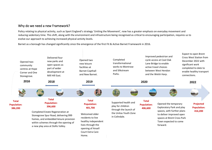## <span id="page-7-0"></span>Why do we need a new Framework?

Policy relating to physical activity, such as Sport England's strategy 'Uniting the Movement', now has a greater emphasis on everyday movement and reducing sedentary time. This shift, along with the environment and infrastructure being recognised as critical to encouraging participation, requires us to evolve our approach to achieving increased physical activity levels.

Barnet as a borough has changed significantly since the emergence of the first Fit & Active Barnet Framework in 2016.

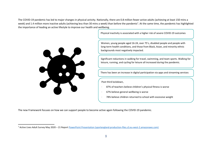The COVID-19 pandemic has led to major changes in physical activity. Nationally, there are 0.8 million fewer active adults (achieving at least 150 mins a week) and 1.4 million more inactive adults (achieving less than 30 mins a week) than before the pandemic<sup>1</sup>. At the same time, the pandemic has highlighted the importance of leading an active lifestyle to improve our health and wellbeing.

Physical inactivity is associated with a higher risk of severe COVID-19 outcomes



Women, young people aged 16-24, over 75's, disabled people and people with long-term health conditions, and those from Black, Asian, and minority ethnic backgrounds most negatively impacted.

Significant reductions in walking for travel, swimming, and team sports. Walking for leisure, running, and cycling for leisure all increased during the pandemic.

There has been an increase in digital participation via apps and streaming services

Post third lockdown,

- 87% of teachers believe children's physical fitness is worse
- · 67% believe general wellbeing is worse
- 78% believe children returned to school with excessive weight

The new Framework focuses on how we can support people to become active again following the COVID-19 pandemic.

<sup>1</sup> Active Lives Adult Survey May 2020 – 21 Report [PowerPoint Presentation \(sportengland-production-files.s3.eu-west-2.amazonaws.com\)](https://sportengland-production-files.s3.eu-west-2.amazonaws.com/s3fs-public/2021-10/Active%20Lives%20Adult%20Survey%20May%202020-21%20Report.pdf?VersionId=YcsnWYZSKx4n12TH0cKpY392hBkRdA8N)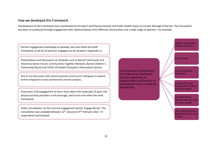#### <span id="page-9-0"></span>How we developed this Framework

Development of the Framework was coordinated by the Sport and Physical Activity and Public Health teams at London Borough of Barnet. The Framework has been co-produced through engagement with representatives from different communities and a wide range of partners. For example.

Partner engagement workshops to develop, test and refine the draft Framework (a full list of partners engaged can be located in Appendix 1).

Presentations and discussions at networks such as Barnet Community and Voluntary Sector Forum, Communities Together Network, Barnet Children's Partnership Board and COVID-19 Health Champions Information Session.

One to one discussion with external partners and Council colleagues to explore further integration across workstreams and key projects.

Grassroots Club engagement to learn more about the landscape of sport and physical activity providers in the borough, and to test and refine the draft Framework.

Public consultation via the Councils engagement portal; Engage Barnet. The consultation was available between 12<sup>th</sup> January to 9<sup>th</sup> February 2022. 73 respondents participated.

Focus groups to understand the importance of physical activity, awareness of opportunities and barriers to participation from a residents perspective.

LGBTQ+ Community (Queer the norm)

Faith Groups

COVID-19 Health **Champions** 

Children & Young People (Barnet Youth Board & Unitas)

Disabled People (Barnet Mencap 'Have your Say' panel)

Older Adults (Barnet Adult Social Care User Group)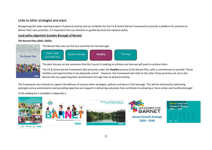## <span id="page-10-0"></span>Links to other strategies and plans

Recognising the wide-reaching impact of physical activity and our ambition for the Fit & Active Barnet Framework to provide a platform for partners to deliver their own priorities, it is important that our direction is guided by local and national policy.

#### **Local policy alignment (London Borough of Barnet)**

#### **The Barnet Plan (2021–2025):**



The Fit & Active Barnet Framework falls primarily under the **Healthy** priority of the Barnet Plan, with a commitment to provide "Great facilities and opportunities to be physically active". However, the Framework also links to the other three priorities set out in the Barnet Plan by supporting their workstreams through links to physical activity.

The Framework also intends to support the delivery of various other strategies, policies and plans in the borough. This will be achieved by optimising synergies across workstreams and providing expertise and support in delivering outcomes that contribute to achieving a 'more active and healthy borough'. A full reading list is available in Appendix 2.









**Barnet Long Term Transport Strategy**  $2020 - 2041$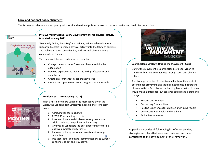#### **Local and national policy alignment**

The Framework demonstrates synergy with local and national policy context to create an active and healthier population.



Public Health

#### **PHE Everybody Active, Every Day: framework for physical activity (updated January 2021)**

'Everybody Active, Every Day' is a national, evidence-based approach to support all sectors to embed physical activity into the fabric of daily life and make it an easy, cost-effective, and 'normal' choice in every community in England.

The framework focuses on four areas for action

- Change the social 'norm' to make physical activity the expectation
- Develop expertise and leadership with professionals and volunteers
- Create environments to support active lives
- Identify and up-scale successful programmes nationwide

#### **London Sport: LDN Moving (2021)**

With a mission to make London the most active city in the world, the London Sport Strategy is made up of six long term goals:

- $\Omega$  sport
- 1. Achieving long term change
- 2. COVID-19 responding to crisis
- 3. Increase physical activity levels among less active adults, reducing inequalities and inactivity
- 4. Give young Londoners the best opportunity to form a positive physical activity for life
- 12 5. Improve policy, systems, and investment to support active lives
- 6. Use tech, data, and digital communications to support Londoners to get and stay active.



#### **Sport England Strategy: Uniting the Movement (2021):**

Uniting the movement is Sport England's 10-year vision to transform lives and communities through sport and physical activity.

The strategy prioritises five big issues that have the greatest potential for preventing and tackling inequalities in sport and physical activity. Each 'issue' is a building block that on its own would make a difference, but together could make a profound change

- Recover and Reinvent
- Connecting Communities
- Positive Experiences for Children and Young People
- Connecting with Health and Wellbeing
- Active Environments

Appendix 3 provides all full reading list of other policies, strategies and plans that have been reviewed and have contributed to the development of the Framework.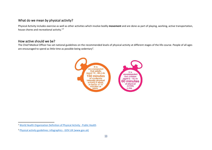## <span id="page-12-0"></span>What do we mean by physical activity?

Physical Activity includes exercise as well as other activities which involve bodily **movement** and are done as part of playing, working, active transportation, house chores and recreational activity."*<sup>2</sup>*

## <span id="page-12-1"></span>How active should we be?

The Chief Medical Officer has set national guidelines on the recommended levels of physical activity at different stages of the life-course. People of all ages are encouraged to spend as little time as possible being sedentary<sup>3</sup>.



<sup>2</sup> [World Health Organization Definition of Physical Activity -](https://www.publichealth.com.ng/world-health-organization-definition-of-physical-activity/#:~:text=World%20Health%20Organization%20Definition%20of%20Physical%20Activity%201,activity%20and%20risk%20of%20insufficient%20physical%20activity.%20) Public Health

<sup>3</sup> [Physical activity guidelines: infographics -](https://www.gov.uk/government/publications/physical-activity-guidelines-infographics) GOV.UK (www.gov.uk)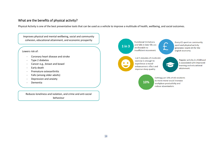## <span id="page-13-0"></span>What are the benefits of physical activity?

Physical Activity is one of the best preventative tools that can be used as a vehicle to improve a multitude of health, wellbeing, and social outcomes.

Improves physical and mental wellbeing, social and community cohesion, educational attainment, and economic prosperity

#### Lowers risk of:

- Coronary heart disease and stroke
- Type 2 diabetes
- Cancer e.g., breast and bowel
- Early death
- Premature osteoarthritis
- Falls (among older adults)
- Depression and anxiety
- Dementia

Reduces loneliness and isolation, and crime and anti-social behaviour

 $1$  in  $3$ 

**Functional limitations** and falls in later life are attributable to insufficient movement.



Every £1 spent on community sport and physical activity generates nearly £4 for the English economy.

Regular activity in childhood

is associated with improved



Just 5 minutes of moderate exercise is enough to experience a moodenhancement effect and improve sleep quality.

10%

learning and educational attainment.

Getting just 10% of UK residents to move more would increase workplace productivity and reduce absenteeism.

14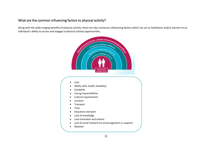## <span id="page-14-0"></span>What are the common influencing factors to physical activity?

Along with the wide-ranging benefits of physical activity, there are also numerous influencing factors which can act as facilitators and/or barriers to an individual's ability to access and engage in physical activity opportunities.

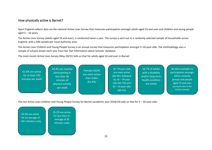## <span id="page-15-0"></span>How physically active is Barnet?

Sport England collects data via the national Active Lives Survey that measures participation amongst adults aged 16 and over and children and young people aged  $5 - 16$  years.

The Active Lives Survey (adults aged 16 and over), is conducted twice a year. The survey is sent out to a randomly selected sample of households across England, with a 500 sample per Local Authority area.

The Active Lives Children and Young People Survey is an annual survey that measures participation amongst 5–16-year-olds. The methodology uses a sample of schools drawn each year from the 'Get Information about Schools' database.

The most recent Active Lives Survey (May 20/21) tells us that for adults aged 16 and over in Barnet:

| 61.6% are active<br>for at least 150<br>minutes per week | 24.4% are inactive<br>participating in<br>less than 30<br>minutes of<br>physical activity<br>per week | Females (62%)<br>are more active<br>than males<br>(61.4%) | 55-74-year-olds<br>are most active<br>(66.5%), followed<br>by $16 - 34$ year<br>olds (65.7%) and<br>$35 - 54$ year olds<br>(60.1%) | 56.7% of adults<br>with a disability<br>and/or long-term<br>health condition<br>are active | No data available on<br>participation amongst<br>ethnic minority<br>groups and people<br>aged 75 and over<br>(primarily due to the<br>limited sample) |
|----------------------------------------------------------|-------------------------------------------------------------------------------------------------------|-----------------------------------------------------------|------------------------------------------------------------------------------------------------------------------------------------|--------------------------------------------------------------------------------------------|-------------------------------------------------------------------------------------------------------------------------------------------------------|
|                                                          |                                                                                                       |                                                           |                                                                                                                                    |                                                                                            |                                                                                                                                                       |

The last Active Lives Children and Young People Survey for Barnet (academic year 2018/19) tells us that for 5 – 16-year-olds:  $\mathcal{L}$  and  $\mathcal{L}$ 

43.5% are active for an average of 60+ minutes a day 35.2% are active for less than an average of 30 minutes a day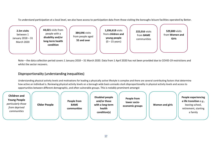To understand participation at a local level, we also have access to participation data from those visiting the boroughs leisure facilities operated by Better.



Note – the data collection period covers 1 January 2018 – 31 March 2020. Data from 1 April 2020 has not been provided due to COVID-19 restrictions and whilst the sector recovers.

## <span id="page-16-0"></span>Disproportionality (understanding inequalities)

Understanding physical activity levels and motivations for leading a physically active lifestyle is complex and there are several contributing factors that determine how active an individual is. Reviewing physical activity levels on a borough wide basis unmasks stark disproportionality in physical activity levels and access to opportunities between different demographic, and often vulnerable groups. This is notably prominent amongst

**Children and Young People** *particularly those from deprived communities* **Older People People from BAME communities Disabled people and/or those with a long-term health condition(s) People from lower socioeconomic groups Women and girls People experiencing a life transition** e.g., leaving school, retirement, starting a family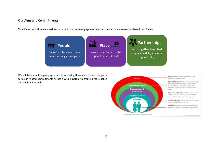## <span id="page-17-0"></span>Our Aims and Commitments

To achieve our vision, we need to continue to maximise engagement and work collectively towards a shared set of aims.



We will take a multi-agency approach to achieving these aims by focussing on a series of related commitments across a whole system to create a more active and healthy borough.

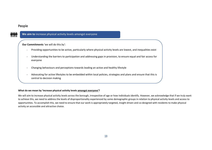#### <span id="page-18-0"></span>People

**THE** 

#### **We aim to** increase physical activity levels amongst everyone

**Our Commitments** 'we will do this by':

- Providing opportunities to be active, particularly where physical activity levels are lowest, and inequalities exist
- Understanding the barriers to participation and addressing gaps in provision, to ensure equal and fair access for everyone
- Changing behaviours and perceptions towards leading an active and healthy lifestyle
- Advocating for active lifestyles to be embedded within local policies, strategies and plans and ensure that this is central to decision making

#### **What do we mean by 'increase physical activity levels amongst everyone'?**

We will aim to increase physical activity levels across the borough, irrespective of age or how individuals identify. However, we acknowledge that if we truly want to achieve this, we need to address the levels of disproportionality experienced by some demographic groups in relation to physical activity levels and access to opportunities. To accomplish this, we need to ensure that our work is appropriately targeted, insight driven and co-designed with residents to make physical activity an accessible and attractive choice.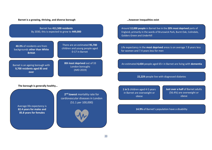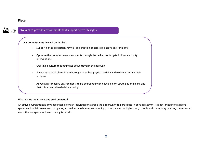#### <span id="page-20-0"></span>Place



## **We aim to** provide environments that support active lifestyles

**Our Commitments** 'we will do this by':

- Supporting the protection, revival, and creation of accessible active environments
- Optimise the use of active environments through the delivery of targeted physical activity interventions
- Creating a culture that optimises active travel in the borough
- Encouraging workplaces in the borough to embed physical activity and wellbeing within their business
- Advocating for active environments to be embedded within local policy, strategies and plans and that this is central to decision making

#### **What do we mean by active environments?**

An active environment is any space that allows an individual or a group the opportunity to participate in physical activity. It is not limited to traditional spaces such as leisure centres and parks, it could include homes, community spaces such as the high-street, schools and community centres, commutes to work, the workplace and even the digital world.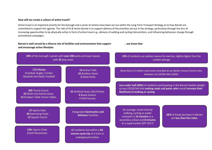#### **How will we create a culture of active travel?**

Active travel is an important priority for the borough and a series of actions have been set out within the Long-Term Transport Strategy as to how Barnet are committed to support this agenda. The role of Fit & Active Barnet is to support delivery of the priorities set out in the strategy, particularly through the lens of increasing opportunities to be physically active in form of active travel e.g., delivery of walking and cycling interventions, and influencing behaviour change through promotional campaigns.

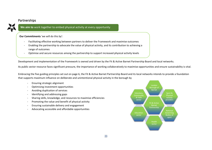## <span id="page-22-0"></span>Partnerships



## **We aim to** work together to embed physical activity at every opportunity

**Our Commitments** 'we will do this by':

- Facilitating effective working between partners to deliver the Framework and maximise outcomes
- Enabling the partnership to advocate the value of physical activity, and its contribution to achieving a range of outcomes
- Optimise and secure resources among the partnership to support increased physical activity levels

Development and implementation of the Framework is owned and driven by the Fit & Active Barnet Partnership Board and local networks.

As public sector resource faces significant pressure, the importance of working collaboratively to maximise opportunities and ensure sustainability is vital.

Embracing the five guiding principles set out on page 6, the Fit & Active Barnet Partnership Board and its local networks intends to provide a foundation that supports maximum influence on deliberate and unintentional physical activity in the borough by

- Ensuring strategic alignment
- Optimising investment opportunities
- Avoiding duplication of services
- Identifying and addressing gaps
- Sharing skills, knowledge, and resources to maximise efficiencies
- Promoting the value and benefit of physical activity
- Ensuring sustainable delivery and engagement
- Advocating accessible and affordable opportunities

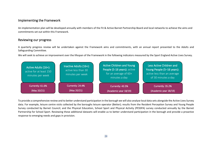## <span id="page-23-0"></span>Implementing the Framework

An implementation plan will be developed annually with members of the Fit & Active Barnet Partnership Board and local networks to achieve the aims and commitments set out within this Framework.

## <span id="page-23-1"></span>Reviewing our progress

A quarterly progress review will be undertaken against the Framework aims and commitments, with an annual report presented to the Adults and Safeguarding Committee.

We will seek to achieve an improvement over the lifespan of the Framework in the following indicators measured by the Sport England Active Lives Survey.



To provide a comprehensive review and to better understand participation in the borough we will also analyse local data sets alongside the Active Lives Survey data. For example, leisure centre visits collected by the boroughs leisure operator (Better); results from the Resident Perception Survey and Young People Survey conducted by Barnet Council; and the Physical Education, School Sport and Physical Activity (PESSPA) survey conducted annually by the Barnet Partnership for School Sport. Reviewing these additional datasets will enable us to better understand participation in the borough and provide a proactive response to emerging needs and gaps in provision.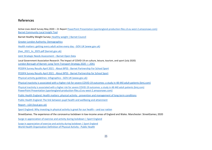#### <span id="page-24-0"></span>References

Active Lives Adult Survey May 2020 – 21 Repor[t PowerPoint Presentation \(sportengland-production-files.s3.eu-west-2.amazonaws.com\)](https://sportengland-production-files.s3.eu-west-2.amazonaws.com/s3fs-public/2021-10/Active%20Lives%20Adult%20Survey%20May%202020-21%20Report.pdf?VersionId=YcsnWYZSKx4n12TH0cKpY392hBkRdA8N) [Barnet Community Local Insight Tool](https://barnet.communityinsight.org/)

Barnet Healthy Weight Survey: [Healthy weight | Barnet Council](https://www.barnet.gov.uk/health-and-wellbeing/healthy-barnet/healthy-weight)

[Greater London Authority: Demographics](https://data.london.gov.uk/demography/)

[Health matters: getting every adult active every day -](https://www.gov.uk/government/publications/health-matters-getting-every-adult-active-every-day/health-matters-getting-every-adult-active-every-day) GOV.UK (www.gov.uk)

jhws 2021 to 2025.pdf (barnet.gov.uk)

[Joint Strategic Needs Assessment](https://open.barnet.gov.uk/insight-and-intelligence/jsna/) – Barnet Open Data

Local Government Association Research: The Impact of COVID-19 on culture, leisure, tourism, and sport (July 2020) [London Borough of Barnet: Long Term Transport Strategy 2020](https://www.barnet.gov.uk/sites/default/files/2021-10/Barnet%20LTTS%20v8.pdf) — 2041

PESSPA Survey Results April 2021 - About BPSS - [Barnet Partnership For School Sport](https://www.barnetpartnershipforschoolsport.co.uk/content/about-us/22811/pesspa-survey-results-april-2021)

PESSPA Survey Results April 2021 - About BPSS - [Barnet Partnership for School Sport](https://www.barnetpartnershipforschoolsport.co.uk/content/about-us/22811/pesspa-survey-results-april-2021)

[Physical activity guidelines: infographics -](https://www.gov.uk/government/publications/physical-activity-guidelines-infographics) GOV.UK (www.gov.uk)

[Physical inactivity is associated with a higher risk for severe COVID-19 outcomes: a study in 48 440 adult patients \(bmj.com\)](https://bjsm.bmj.com/content/bjsports/early/2021/04/07/bjsports-2021-104080.full.pdf)

[Physical inactivity is associated with a higher risk for severe COVID-19 outcomes: a study in 48 440 adult patients \(bmj.com\)](https://bjsm.bmj.com/content/bjsports/early/2021/04/07/bjsports-2021-104080.full.pdf) [PowerPoint Presentation \(sportengland-production-files.s3.eu-west-2.amazonaws.com\)](https://sportengland-production-files.s3.eu-west-2.amazonaws.com/s3fs-public/2021-10/Active%20Lives%20Adult%20Survey%20May%202020-21%20Report.pdf?VersionId=YcsnWYZSKx4n12TH0cKpY392hBkRdA8N)

[Public Health England: Health matters: physical activity -](https://www.gov.uk/government/publications/health-matters-physical-activity/health-matters-physical-activity-prevention-and-management-of-long-term-conditions) prevention and management of long-term conditions

Public Health England**:** [The link between pupil health and wellbeing and attainment](https://assets.publishing.service.gov.uk/government/uploads/system/uploads/attachment_data/file/370686/HT_briefing_layoutvFINALvii.pdf)

Report - [LGA \(local.gov.uk\)](https://www.local.gov.uk/sites/default/files/documents/COVID-19%20impact%20on%20Culture%20Leisure%20Tourism%20Sport.pdf)

[Sport England: Why investing in physical activity is great for our health](https://www.sportengland.org/news/why-investing-physical-activity-great-our-health-and-our-nation) – and our nation

StreetGames. The experience of the coronavirus lockdown in low-income areas of England and Wales. Manchester: StreetGames; 2020

[Surge in appreciation of exercise and activity during lockdown | Sport England](https://www.sportengland.org/news/surge-appreciation-exercise-and-activity-during-lockdown)

[Surge in appreciation of exercise and activity during lockdown | Sport England](https://www.sportengland.org/news/surge-appreciation-exercise-and-activity-during-lockdown) [World Health Organization Definition of Physical Activity -](https://www.publichealth.com.ng/world-health-organization-definition-of-physical-activity/#:~:text=World%20Health%20Organization%20Definition%20of%20Physical%20Activity%201,activity%20and%20risk%20of%20insufficient%20physical%20activity.%20) Public Health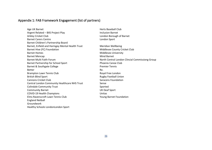## <span id="page-25-0"></span>Appendix 1: FAB Framework Engagement (list of partners)

Age UK Barnet **Herts Baseball Club** Argent Related – BXS Project Play Inclusion Barnet Arkley Cricket Club **London Borough of Barnet** Barnet Carers Centre **London Sport** Barnet Children's Partnership Board Barnet, Enfield and Haringey Mental Health Trust Meridian Wellbeing Barnet Hive (FC) Foundation Middlesex County Cricket Club Barnet Homes **Middlesex University** Barnet Mencap Mind Barnet Barnet Multi Faith Forum North Central London Clincial Commissiong Group Barnet Partnership for School Sport Phoenix Canoe Club Barnet & Southgate College **Premier Tennis** Premier Tennis Better Re. Brampton Lawn Tennis Club **Royal Free London** British Blind Sport **Rugby Football Union Cannons Cricket Club** Saracens Foundation Central London Community Healthcare NHS Trust Sense Colindale Community Trust Colindale Community Trust Community Barnet **Community** Barnet **Community** Barnet **UK** Deaf Sport COVID-19 Health Champions Unitas Elms Ravenscroft Lawn Tennis Club Young Barnet Foundation England Netball Groundwork Healthy Schools LondonLondon Sport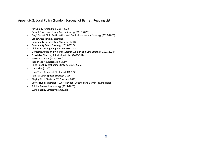## <span id="page-26-0"></span>Appendix 2: Local Policy (London Borough of Barnet) Reading List

- Air Quality Action Plan (2017-2022)
- Barnet Carers and Young Carers Strategy (2015-2020)
- *Draft* Barnet Child Participation and Family Involvement Strategy (2022-2025)
- Brent Cross Town Masterplan
- Community Participation Strategy (Draft)
- Community Safety Strategy (2015-2020)
- Children & Young People Plan (2019-2023)
- Domestic Abuse and Violence Against Women and Girls Strategy (2021-2024)
- Equalities Diversity & Inclusion Policy (2020-2024)
- Growth Strategy (2020-2030)
- Indoor Sport & Recreation Study
- Joint Health & Wellbeing Strategy (2021-2025)
- Local Plan (Draft)
- Long Term Transport Strategy (2020-2041)
- Parks & Open Spaces Strategy (2016)
- Playing Pitch Strategy 2017 (review 2021)
- Sports Hub Masterplans; West Hendon, Copthall and Barnet Playing Fields
- Suicide Prevention Strategy (2021-2025)
- Sustainability Strategy Framework